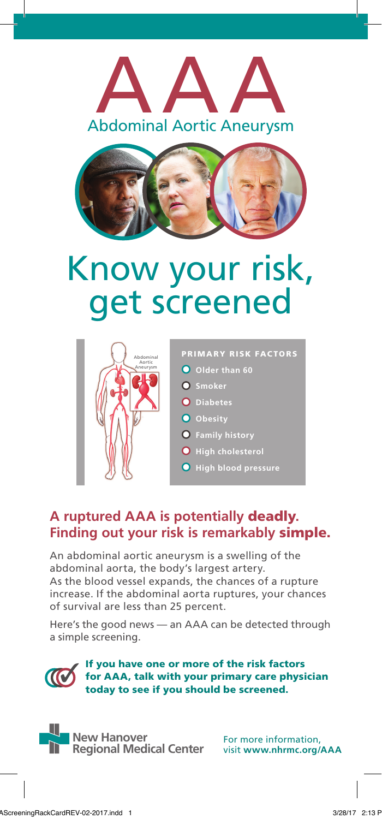



## Know your risk, get screened



PRIMARY RISK FACTORS **O** Older than 60 **O** Smoker **Diabetes O** Obesity **Family history High cholesterol High blood pressure**

## **A ruptured AAA is potentially** deadly**. Finding out your risk is remarkably** simple.

An abdominal aortic aneurysm is a swelling of the abdominal aorta, the body's largest artery. As the blood vessel expands, the chances of a rupture increase. If the abdominal aorta ruptures, your chances of survival are less than 25 percent.

Here's the good news — an AAA can be detected through a simple screening.

If you have one or more of the risk factors for AAA, talk with your primary care physician today to see if you should be screened. ✓

**New Hanover Regional Medical Center**

For more information, visit **www.nhrmc.org/AAA**